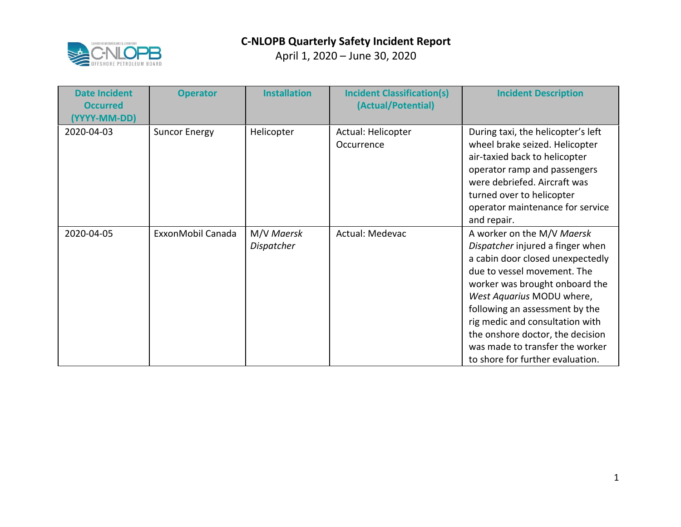

| <b>Date Incident</b><br><b>Occurred</b><br>(YYYY-MM-DD) | <b>Operator</b>      | <b>Installation</b>      | <b>Incident Classification(s)</b><br>(Actual/Potential) | <b>Incident Description</b>                                                                                                                                                                                                                                                                                                                                                      |
|---------------------------------------------------------|----------------------|--------------------------|---------------------------------------------------------|----------------------------------------------------------------------------------------------------------------------------------------------------------------------------------------------------------------------------------------------------------------------------------------------------------------------------------------------------------------------------------|
| 2020-04-03                                              | <b>Suncor Energy</b> | Helicopter               | Actual: Helicopter<br>Occurrence                        | During taxi, the helicopter's left<br>wheel brake seized. Helicopter<br>air-taxied back to helicopter<br>operator ramp and passengers<br>were debriefed. Aircraft was<br>turned over to helicopter<br>operator maintenance for service<br>and repair.                                                                                                                            |
| 2020-04-05                                              | ExxonMobil Canada    | M/V Maersk<br>Dispatcher | Actual: Medevac                                         | A worker on the M/V Maersk<br>Dispatcher injured a finger when<br>a cabin door closed unexpectedly<br>due to vessel movement. The<br>worker was brought onboard the<br>West Aquarius MODU where,<br>following an assessment by the<br>rig medic and consultation with<br>the onshore doctor, the decision<br>was made to transfer the worker<br>to shore for further evaluation. |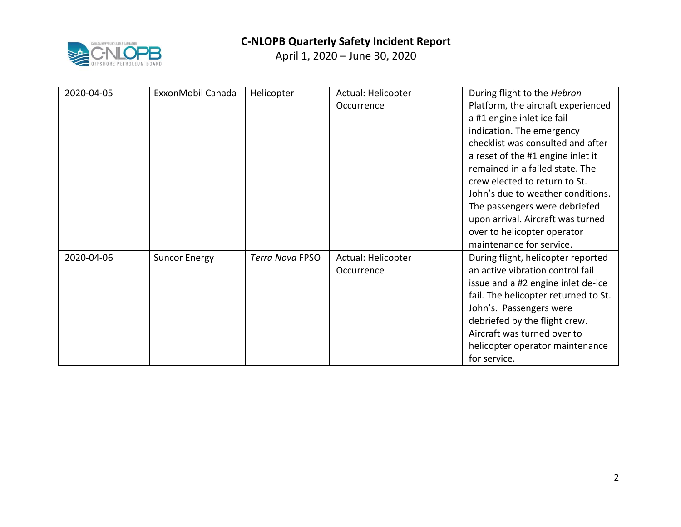

| 2020-04-05 | ExxonMobil Canada    | Helicopter             | Actual: Helicopter<br>Occurrence | During flight to the Hebron<br>Platform, the aircraft experienced<br>a #1 engine inlet ice fail<br>indication. The emergency<br>checklist was consulted and after<br>a reset of the #1 engine inlet it<br>remained in a failed state. The<br>crew elected to return to St.<br>John's due to weather conditions.<br>The passengers were debriefed<br>upon arrival. Aircraft was turned<br>over to helicopter operator<br>maintenance for service. |
|------------|----------------------|------------------------|----------------------------------|--------------------------------------------------------------------------------------------------------------------------------------------------------------------------------------------------------------------------------------------------------------------------------------------------------------------------------------------------------------------------------------------------------------------------------------------------|
| 2020-04-06 | <b>Suncor Energy</b> | <b>Terra Nova FPSO</b> | Actual: Helicopter<br>Occurrence | During flight, helicopter reported<br>an active vibration control fail<br>issue and a #2 engine inlet de-ice<br>fail. The helicopter returned to St.<br>John's. Passengers were<br>debriefed by the flight crew.<br>Aircraft was turned over to<br>helicopter operator maintenance<br>for service.                                                                                                                                               |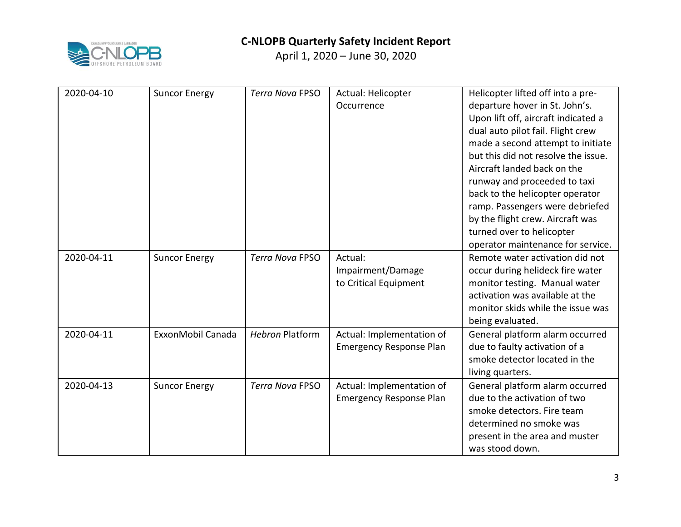

| 2020-04-10 | <b>Suncor Energy</b> | <b>Terra Nova FPSO</b> | Actual: Helicopter<br>Occurrence                            | Helicopter lifted off into a pre-<br>departure hover in St. John's.<br>Upon lift off, aircraft indicated a<br>dual auto pilot fail. Flight crew<br>made a second attempt to initiate<br>but this did not resolve the issue.<br>Aircraft landed back on the |
|------------|----------------------|------------------------|-------------------------------------------------------------|------------------------------------------------------------------------------------------------------------------------------------------------------------------------------------------------------------------------------------------------------------|
|            |                      |                        |                                                             | runway and proceeded to taxi<br>back to the helicopter operator<br>ramp. Passengers were debriefed<br>by the flight crew. Aircraft was<br>turned over to helicopter<br>operator maintenance for service.                                                   |
| 2020-04-11 | <b>Suncor Energy</b> | <b>Terra Nova FPSO</b> | Actual:<br>Impairment/Damage<br>to Critical Equipment       | Remote water activation did not<br>occur during helideck fire water<br>monitor testing. Manual water<br>activation was available at the<br>monitor skids while the issue was<br>being evaluated.                                                           |
| 2020-04-11 | ExxonMobil Canada    | <b>Hebron Platform</b> | Actual: Implementation of<br><b>Emergency Response Plan</b> | General platform alarm occurred<br>due to faulty activation of a<br>smoke detector located in the<br>living quarters.                                                                                                                                      |
| 2020-04-13 | <b>Suncor Energy</b> | <b>Terra Nova FPSO</b> | Actual: Implementation of<br><b>Emergency Response Plan</b> | General platform alarm occurred<br>due to the activation of two<br>smoke detectors. Fire team<br>determined no smoke was<br>present in the area and muster<br>was stood down.                                                                              |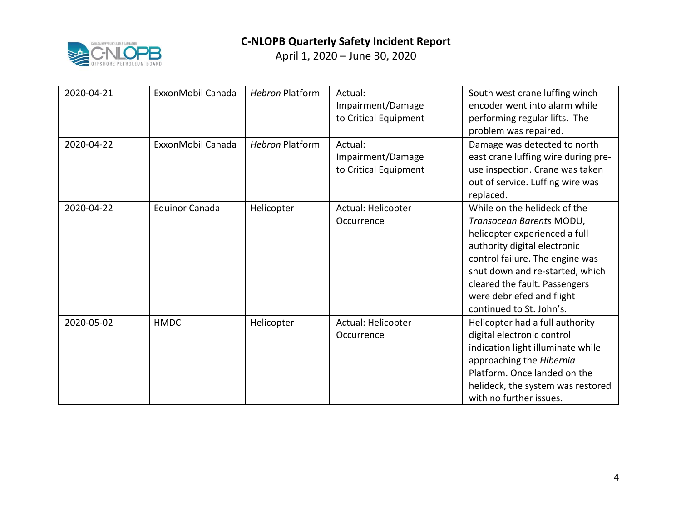

| 2020-04-21 | ExxonMobil Canada | <b>Hebron Platform</b> | Actual:<br>Impairment/Damage<br>to Critical Equipment | South west crane luffing winch<br>encoder went into alarm while<br>performing regular lifts. The<br>problem was repaired.                                                                                                                                                                 |
|------------|-------------------|------------------------|-------------------------------------------------------|-------------------------------------------------------------------------------------------------------------------------------------------------------------------------------------------------------------------------------------------------------------------------------------------|
| 2020-04-22 | ExxonMobil Canada | <b>Hebron Platform</b> | Actual:<br>Impairment/Damage<br>to Critical Equipment | Damage was detected to north<br>east crane luffing wire during pre-<br>use inspection. Crane was taken<br>out of service. Luffing wire was<br>replaced.                                                                                                                                   |
| 2020-04-22 | Equinor Canada    | Helicopter             | Actual: Helicopter<br>Occurrence                      | While on the helideck of the<br>Transocean Barents MODU,<br>helicopter experienced a full<br>authority digital electronic<br>control failure. The engine was<br>shut down and re-started, which<br>cleared the fault. Passengers<br>were debriefed and flight<br>continued to St. John's. |
| 2020-05-02 | <b>HMDC</b>       | Helicopter             | Actual: Helicopter<br>Occurrence                      | Helicopter had a full authority<br>digital electronic control<br>indication light illuminate while<br>approaching the Hibernia<br>Platform. Once landed on the<br>helideck, the system was restored<br>with no further issues.                                                            |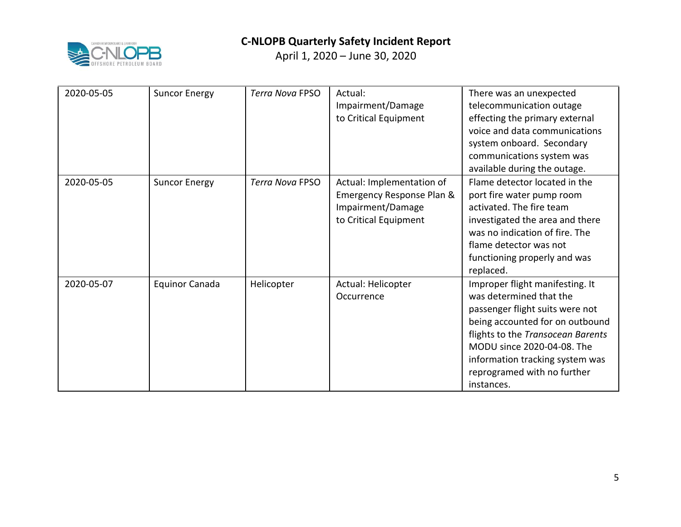

| 2020-05-05 | <b>Suncor Energy</b> | <b>Terra Nova FPSO</b> | Actual:                   | There was an unexpected           |
|------------|----------------------|------------------------|---------------------------|-----------------------------------|
|            |                      |                        | Impairment/Damage         | telecommunication outage          |
|            |                      |                        | to Critical Equipment     | effecting the primary external    |
|            |                      |                        |                           | voice and data communications     |
|            |                      |                        |                           | system onboard. Secondary         |
|            |                      |                        |                           | communications system was         |
|            |                      |                        |                           | available during the outage.      |
| 2020-05-05 | <b>Suncor Energy</b> | <b>Terra Nova FPSO</b> | Actual: Implementation of | Flame detector located in the     |
|            |                      |                        | Emergency Response Plan & | port fire water pump room         |
|            |                      |                        | Impairment/Damage         | activated. The fire team          |
|            |                      |                        | to Critical Equipment     | investigated the area and there   |
|            |                      |                        |                           | was no indication of fire. The    |
|            |                      |                        |                           | flame detector was not            |
|            |                      |                        |                           | functioning properly and was      |
|            |                      |                        |                           | replaced.                         |
| 2020-05-07 | Equinor Canada       | Helicopter             | Actual: Helicopter        | Improper flight manifesting. It   |
|            |                      |                        | Occurrence                | was determined that the           |
|            |                      |                        |                           | passenger flight suits were not   |
|            |                      |                        |                           | being accounted for on outbound   |
|            |                      |                        |                           | flights to the Transocean Barents |
|            |                      |                        |                           | MODU since 2020-04-08. The        |
|            |                      |                        |                           | information tracking system was   |
|            |                      |                        |                           | reprogramed with no further       |
|            |                      |                        |                           | instances.                        |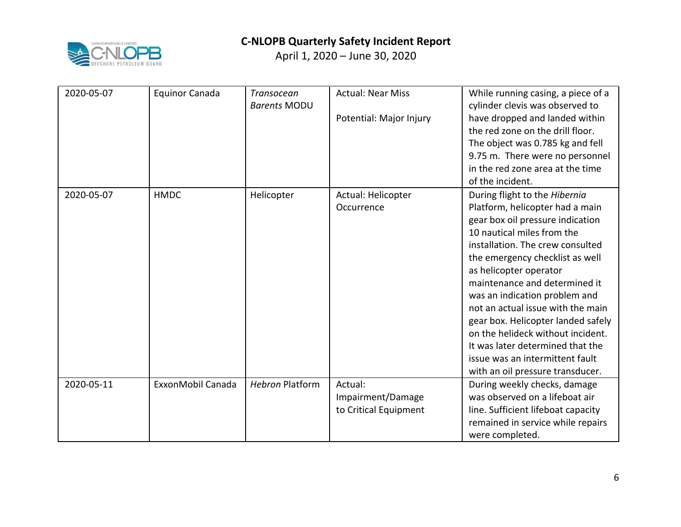

| 2020-05-07 | <b>Equinor Canada</b> | <b>Transocean</b><br><b>Barents MODU</b> | <b>Actual: Near Miss</b><br>Potential: Major Injury   | While running casing, a piece of a<br>cylinder clevis was observed to<br>have dropped and landed within<br>the red zone on the drill floor.<br>The object was 0.785 kg and fell<br>9.75 m. There were no personnel<br>in the red zone area at the time<br>of the incident.                                                                                                                                                                                                                                                       |
|------------|-----------------------|------------------------------------------|-------------------------------------------------------|----------------------------------------------------------------------------------------------------------------------------------------------------------------------------------------------------------------------------------------------------------------------------------------------------------------------------------------------------------------------------------------------------------------------------------------------------------------------------------------------------------------------------------|
| 2020-05-07 | <b>HMDC</b>           | Helicopter                               | Actual: Helicopter<br>Occurrence                      | During flight to the Hibernia<br>Platform, helicopter had a main<br>gear box oil pressure indication<br>10 nautical miles from the<br>installation. The crew consulted<br>the emergency checklist as well<br>as helicopter operator<br>maintenance and determined it<br>was an indication problem and<br>not an actual issue with the main<br>gear box. Helicopter landed safely<br>on the helideck without incident.<br>It was later determined that the<br>issue was an intermittent fault<br>with an oil pressure transducer. |
| 2020-05-11 | ExxonMobil Canada     | <b>Hebron Platform</b>                   | Actual:<br>Impairment/Damage<br>to Critical Equipment | During weekly checks, damage<br>was observed on a lifeboat air<br>line. Sufficient lifeboat capacity<br>remained in service while repairs<br>were completed.                                                                                                                                                                                                                                                                                                                                                                     |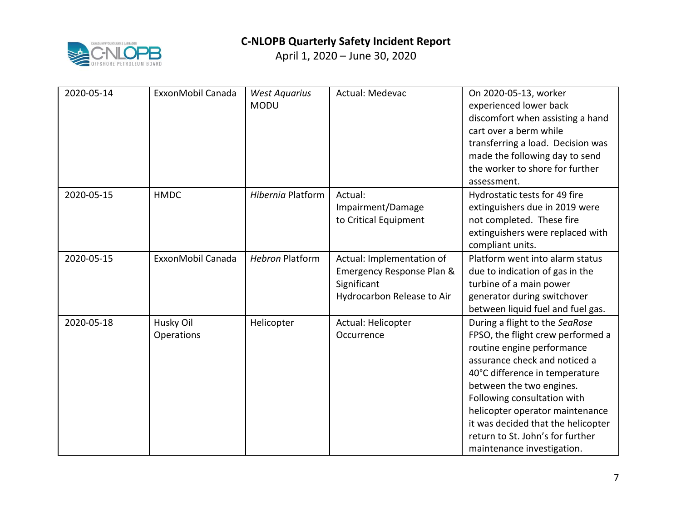

| 2020-05-14 | ExxonMobil Canada       | <b>West Aquarius</b><br><b>MODU</b> | Actual: Medevac                                                                                     | On 2020-05-13, worker<br>experienced lower back<br>discomfort when assisting a hand<br>cart over a berm while<br>transferring a load. Decision was<br>made the following day to send<br>the worker to shore for further<br>assessment.                                                                                                                                     |
|------------|-------------------------|-------------------------------------|-----------------------------------------------------------------------------------------------------|----------------------------------------------------------------------------------------------------------------------------------------------------------------------------------------------------------------------------------------------------------------------------------------------------------------------------------------------------------------------------|
| 2020-05-15 | <b>HMDC</b>             | Hibernia Platform                   | Actual:<br>Impairment/Damage<br>to Critical Equipment                                               | Hydrostatic tests for 49 fire<br>extinguishers due in 2019 were<br>not completed. These fire<br>extinguishers were replaced with<br>compliant units.                                                                                                                                                                                                                       |
| 2020-05-15 | ExxonMobil Canada       | <b>Hebron Platform</b>              | Actual: Implementation of<br>Emergency Response Plan &<br>Significant<br>Hydrocarbon Release to Air | Platform went into alarm status<br>due to indication of gas in the<br>turbine of a main power<br>generator during switchover<br>between liquid fuel and fuel gas.                                                                                                                                                                                                          |
| 2020-05-18 | Husky Oil<br>Operations | Helicopter                          | Actual: Helicopter<br>Occurrence                                                                    | During a flight to the SeaRose<br>FPSO, the flight crew performed a<br>routine engine performance<br>assurance check and noticed a<br>40°C difference in temperature<br>between the two engines.<br>Following consultation with<br>helicopter operator maintenance<br>it was decided that the helicopter<br>return to St. John's for further<br>maintenance investigation. |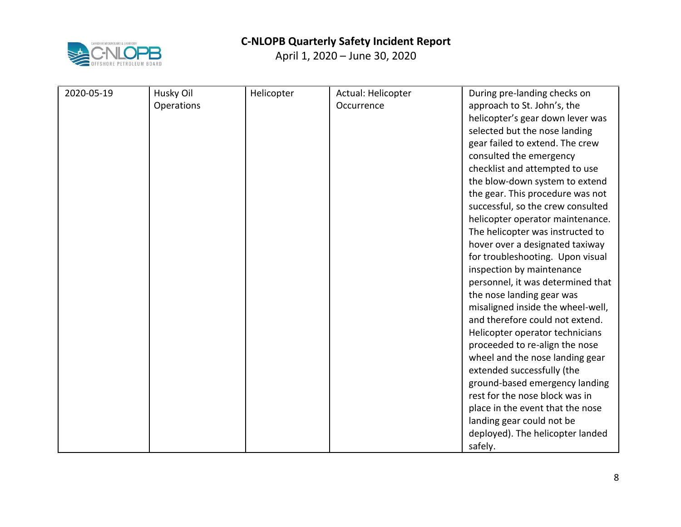

| 2020-05-19 | Husky Oil  | Helicopter | Actual: Helicopter | During pre-landing checks on      |
|------------|------------|------------|--------------------|-----------------------------------|
|            | Operations |            | Occurrence         | approach to St. John's, the       |
|            |            |            |                    | helicopter's gear down lever was  |
|            |            |            |                    | selected but the nose landing     |
|            |            |            |                    | gear failed to extend. The crew   |
|            |            |            |                    | consulted the emergency           |
|            |            |            |                    | checklist and attempted to use    |
|            |            |            |                    | the blow-down system to extend    |
|            |            |            |                    | the gear. This procedure was not  |
|            |            |            |                    | successful, so the crew consulted |
|            |            |            |                    | helicopter operator maintenance.  |
|            |            |            |                    | The helicopter was instructed to  |
|            |            |            |                    | hover over a designated taxiway   |
|            |            |            |                    | for troubleshooting. Upon visual  |
|            |            |            |                    | inspection by maintenance         |
|            |            |            |                    | personnel, it was determined that |
|            |            |            |                    | the nose landing gear was         |
|            |            |            |                    | misaligned inside the wheel-well, |
|            |            |            |                    | and therefore could not extend.   |
|            |            |            |                    | Helicopter operator technicians   |
|            |            |            |                    | proceeded to re-align the nose    |
|            |            |            |                    | wheel and the nose landing gear   |
|            |            |            |                    | extended successfully (the        |
|            |            |            |                    | ground-based emergency landing    |
|            |            |            |                    | rest for the nose block was in    |
|            |            |            |                    | place in the event that the nose  |
|            |            |            |                    | landing gear could not be         |
|            |            |            |                    | deployed). The helicopter landed  |
|            |            |            |                    | safely.                           |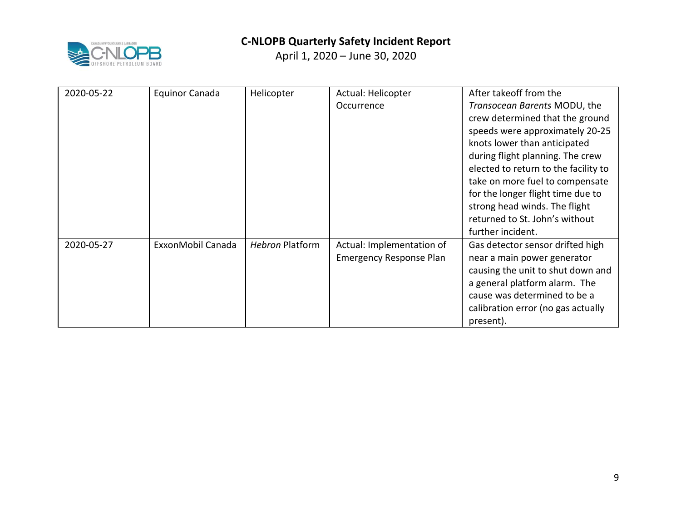

| 2020-05-22 | Equinor Canada    | Helicopter             | Actual: Helicopter<br>Occurrence                            | After takeoff from the<br>Transocean Barents MODU, the<br>crew determined that the ground<br>speeds were approximately 20-25<br>knots lower than anticipated<br>during flight planning. The crew<br>elected to return to the facility to<br>take on more fuel to compensate |
|------------|-------------------|------------------------|-------------------------------------------------------------|-----------------------------------------------------------------------------------------------------------------------------------------------------------------------------------------------------------------------------------------------------------------------------|
|            |                   |                        |                                                             | for the longer flight time due to<br>strong head winds. The flight<br>returned to St. John's without<br>further incident.                                                                                                                                                   |
| 2020-05-27 | ExxonMobil Canada | <b>Hebron Platform</b> | Actual: Implementation of<br><b>Emergency Response Plan</b> | Gas detector sensor drifted high<br>near a main power generator<br>causing the unit to shut down and<br>a general platform alarm. The<br>cause was determined to be a<br>calibration error (no gas actually<br>present).                                                    |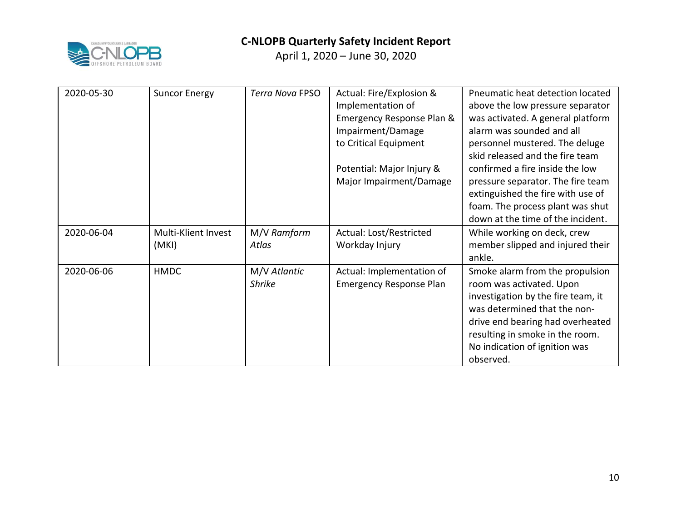

| 2020-05-30 | <b>Suncor Energy</b>         | <b>Terra Nova FPSO</b>        | Actual: Fire/Explosion &<br>Implementation of<br>Emergency Response Plan &<br>Impairment/Damage<br>to Critical Equipment<br>Potential: Major Injury &<br>Major Impairment/Damage | Pneumatic heat detection located<br>above the low pressure separator<br>was activated. A general platform<br>alarm was sounded and all<br>personnel mustered. The deluge<br>skid released and the fire team<br>confirmed a fire inside the low<br>pressure separator. The fire team<br>extinguished the fire with use of<br>foam. The process plant was shut<br>down at the time of the incident. |
|------------|------------------------------|-------------------------------|----------------------------------------------------------------------------------------------------------------------------------------------------------------------------------|---------------------------------------------------------------------------------------------------------------------------------------------------------------------------------------------------------------------------------------------------------------------------------------------------------------------------------------------------------------------------------------------------|
| 2020-06-04 | Multi-Klient Invest<br>(MKI) | M/V Ramform<br>Atlas          | Actual: Lost/Restricted<br>Workday Injury                                                                                                                                        | While working on deck, crew<br>member slipped and injured their<br>ankle.                                                                                                                                                                                                                                                                                                                         |
| 2020-06-06 | <b>HMDC</b>                  | M/V Atlantic<br><b>Shrike</b> | Actual: Implementation of<br><b>Emergency Response Plan</b>                                                                                                                      | Smoke alarm from the propulsion<br>room was activated. Upon<br>investigation by the fire team, it<br>was determined that the non-<br>drive end bearing had overheated<br>resulting in smoke in the room.<br>No indication of ignition was<br>observed.                                                                                                                                            |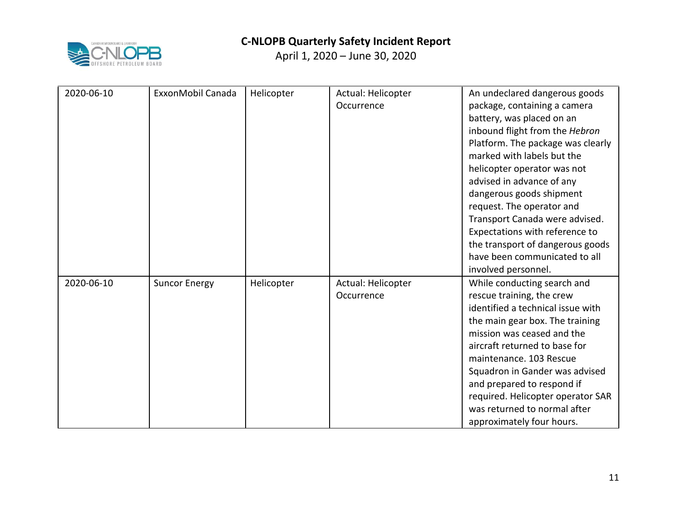

| 2020-06-10 | ExxonMobil Canada    | Helicopter | Actual: Helicopter | An undeclared dangerous goods     |
|------------|----------------------|------------|--------------------|-----------------------------------|
|            |                      |            | Occurrence         | package, containing a camera      |
|            |                      |            |                    | battery, was placed on an         |
|            |                      |            |                    | inbound flight from the Hebron    |
|            |                      |            |                    | Platform. The package was clearly |
|            |                      |            |                    | marked with labels but the        |
|            |                      |            |                    | helicopter operator was not       |
|            |                      |            |                    | advised in advance of any         |
|            |                      |            |                    | dangerous goods shipment          |
|            |                      |            |                    | request. The operator and         |
|            |                      |            |                    | Transport Canada were advised.    |
|            |                      |            |                    | Expectations with reference to    |
|            |                      |            |                    | the transport of dangerous goods  |
|            |                      |            |                    | have been communicated to all     |
|            |                      |            |                    | involved personnel.               |
| 2020-06-10 | <b>Suncor Energy</b> | Helicopter | Actual: Helicopter | While conducting search and       |
|            |                      |            | Occurrence         | rescue training, the crew         |
|            |                      |            |                    | identified a technical issue with |
|            |                      |            |                    | the main gear box. The training   |
|            |                      |            |                    | mission was ceased and the        |
|            |                      |            |                    | aircraft returned to base for     |
|            |                      |            |                    | maintenance. 103 Rescue           |
|            |                      |            |                    | Squadron in Gander was advised    |
|            |                      |            |                    | and prepared to respond if        |
|            |                      |            |                    | required. Helicopter operator SAR |
|            |                      |            |                    | was returned to normal after      |
|            |                      |            |                    | approximately four hours.         |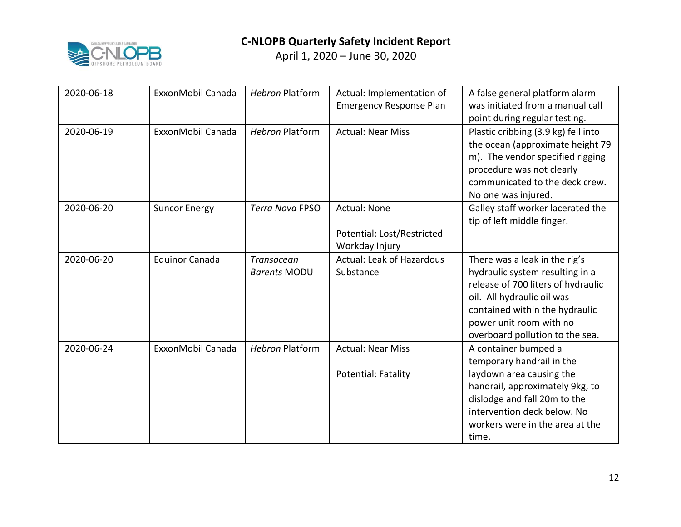

| 2020-06-18 | ExxonMobil Canada     | <b>Hebron Platform</b>                   | Actual: Implementation of<br><b>Emergency Response Plan</b>         | A false general platform alarm<br>was initiated from a manual call<br>point during regular testing.                                                                                                                                  |
|------------|-----------------------|------------------------------------------|---------------------------------------------------------------------|--------------------------------------------------------------------------------------------------------------------------------------------------------------------------------------------------------------------------------------|
| 2020-06-19 | ExxonMobil Canada     | <b>Hebron Platform</b>                   | <b>Actual: Near Miss</b>                                            | Plastic cribbing (3.9 kg) fell into<br>the ocean (approximate height 79<br>m). The vendor specified rigging<br>procedure was not clearly<br>communicated to the deck crew.<br>No one was injured.                                    |
| 2020-06-20 | <b>Suncor Energy</b>  | <b>Terra Nova FPSO</b>                   | <b>Actual: None</b><br>Potential: Lost/Restricted<br>Workday Injury | Galley staff worker lacerated the<br>tip of left middle finger.                                                                                                                                                                      |
| 2020-06-20 | <b>Equinor Canada</b> | <b>Transocean</b><br><b>Barents MODU</b> | <b>Actual: Leak of Hazardous</b><br>Substance                       | There was a leak in the rig's<br>hydraulic system resulting in a<br>release of 700 liters of hydraulic<br>oil. All hydraulic oil was<br>contained within the hydraulic<br>power unit room with no<br>overboard pollution to the sea. |
| 2020-06-24 | ExxonMobil Canada     | <b>Hebron Platform</b>                   | <b>Actual: Near Miss</b><br>Potential: Fatality                     | A container bumped a<br>temporary handrail in the<br>laydown area causing the<br>handrail, approximately 9kg, to<br>dislodge and fall 20m to the<br>intervention deck below. No<br>workers were in the area at the<br>time.          |